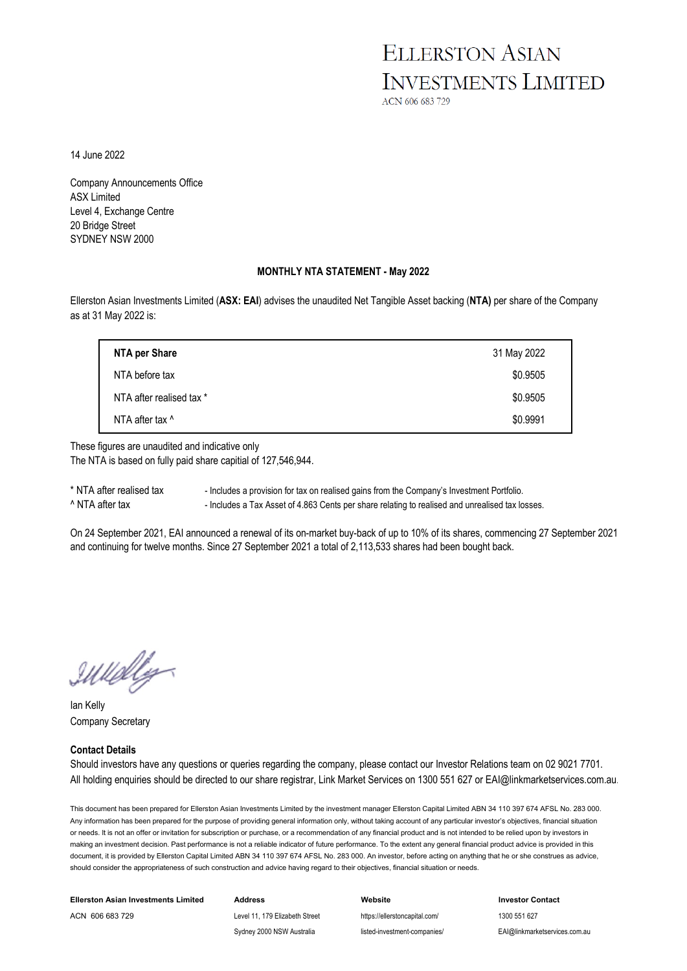## **ELLERSTON ASIAN INVESTMENTS LIMITED**

ACN 606 683 729

14 June 2022

Company Announcements Office ASX Limited Level 4, Exchange Centre 20 Bridge Street SYDNEY NSW 2000

#### **MONTHLY NTA STATEMENT - May 2022**

Ellerston Asian Investments Limited (**ASX: EAI**) advises the unaudited Net Tangible Asset backing (**NTA)** per share of the Company as at 31 May 2022 is:

| NTA per Share            | 31 May 2022 |
|--------------------------|-------------|
| NTA before tax           | \$0.9505    |
| NTA after realised tax * | \$0.9505    |
| NTA after tax ^          | \$0.9991    |

These figures are unaudited and indicative only The NTA is based on fully paid share capitial of 127,546,944.

\* NTA after realised tax - Includes a provision for tax on realised gains from the Company's Investment Portfolio. ^ NTA after tax - Includes a Tax Asset of 4.863 Cents per share relating to realised and unrealised tax losses.

On 24 September 2021, EAI announced a renewal of its on-market buy-back of up to 10% of its shares, commencing 27 September 2021 and continuing for twelve months. Since 27 September 2021 a total of 2,113,533 shares had been bought back.

IWelly-

Ian Kelly Company Secretary

#### **Contact Details**

Should investors have any questions or queries regarding the company, please contact our Investor Relations team on 02 9021 7701. All holding enquiries should be directed to our share registrar, Link Market Services on 1300 551 627 or EAI@linkmarketservices.com.au.

This document has been prepared for Ellerston Asian Investments Limited by the investment manager Ellerston Capital Limited ABN 34 110 397 674 AFSL No. 283 000. Any information has been prepared for the purpose of providing general information only, without taking account of any particular investor's objectives, financial situation or needs. It is not an offer or invitation for subscription or purchase, or a recommendation of any financial product and is not intended to be relied upon by investors in making an investment decision. Past performance is not a reliable indicator of future performance. To the extent any general financial product advice is provided in this document, it is provided by Ellerston Capital Limited ABN 34 110 397 674 AFSL No. 283 000. An investor, before acting on anything that he or she construes as advice. should consider the appropriateness of such construction and advice having regard to their objectives, financial situation or needs.

| <b>Ellerston Asian Investments Limited</b> | Address                        | Website                       | <b>Investor Contact</b>       |
|--------------------------------------------|--------------------------------|-------------------------------|-------------------------------|
| ACN 606 683 729                            | Level 11, 179 Elizabeth Street | https://ellerstoncapital.com/ | 1300 551 627                  |
|                                            | Sydney 2000 NSW Australia      | listed-investment-companies/  | EAI@linkmarketservices.com.au |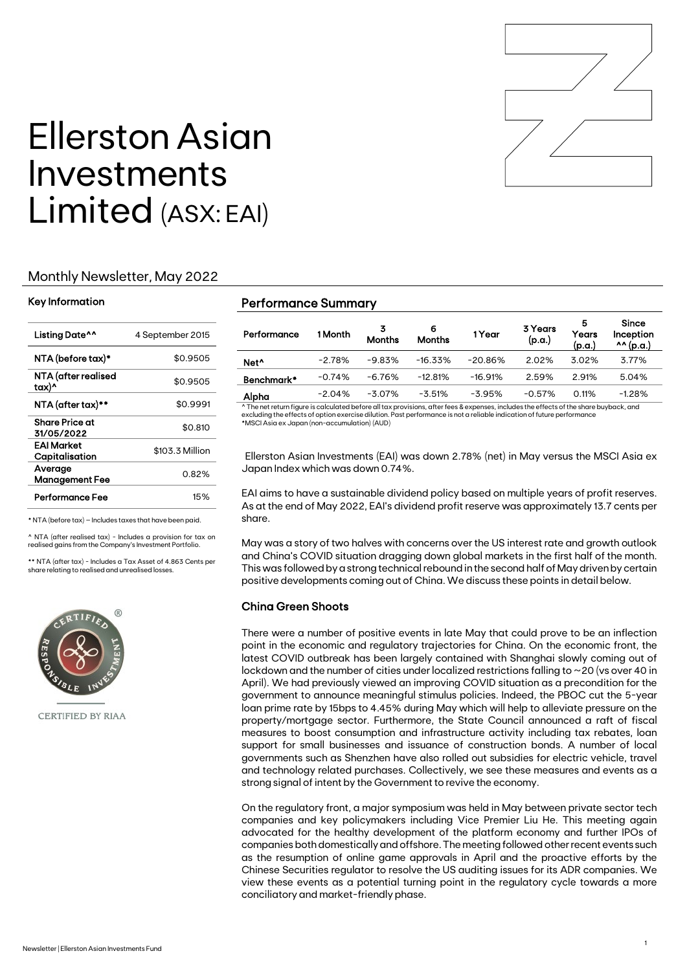

# Ellerston Asian Investments Limited (ASX: EAI)

### Monthly Newsletter, May 2022

#### Key Information

| Listing Date^^                      | 4 September 2015 |
|-------------------------------------|------------------|
| NTA (before tax)*                   | \$0.9505         |
| NTA (after realised<br>tax)^        | \$0.9505         |
| NTA (after tax)**                   | \$0.9991         |
| <b>Share Price at</b><br>31/05/2022 | \$0.810          |
| <b>EAI Market</b><br>Capitalisation | \$103.3 Million  |
| Average<br><b>Management Fee</b>    | 0.82%            |
| Performance Fee                     | 15%              |

\* NTA (before tax) – Includes taxes that have been paid.

 $\land$  NTA (after realised tax) - Includes a provision for tax on realised gains from the Company's Investment Portfolio.

\*\* NTA (after tax) - Includes a Tax Asset of 4.863 Cents per share relating to realised and unrealised losses.



CERTIFIED BY RIAA

#### Performance Summary

| Performance      | 1 Month  | 3<br><b>Months</b> | 6<br><b>Months</b> | 1 Year    | 3 Years<br>(p.a.) | 5<br>Years<br>(p.a.) | Since<br>Inception<br>$^{\wedge \wedge}$ (p.a.) |
|------------------|----------|--------------------|--------------------|-----------|-------------------|----------------------|-------------------------------------------------|
| Net <sup>^</sup> | $-2.78%$ | $-9.83%$           | $-16.33\%$         | $-20.86%$ | 2.02%             | 3.02%                | 3.77%                                           |
| Benchmark*       | $-0.74%$ | $-6.76%$           | $-12.81%$          | $-16.91%$ | 2.59%             | 2.91%                | 5.04%                                           |
| Alpha            | $-2.04%$ | $-3.07\%$          | $-3.51%$           | $-3.95%$  | $-0.57%$          | 0.11%                | $-1.28%$                                        |

^ The net return figure is calculated before all tax provisions, after fees & expenses, includes the effects of the share buyback, and excluding the effects of option exercise dilution. Past performance is not a reliable indication of future performance \*MSCI Asia ex Japan (non-accumulation) (AUD)

Ellerston Asian Investments (EAI) was down 2.78% (net) in May versus the MSCI Asia ex Japan Index which was down 0.74%.

EAI aims to have a sustainable dividend policy based on multiple years of profit reserves. As at the end of May 2022, EAI's dividend profit reserve was approximately 13.7 cents per share.

May was a story of two halves with concerns over the US interest rate and growth outlook and China's COVID situation dragging down global markets in the first half of the month. This was followed by a strong technical rebound in the second half of May driven by certain positive developments coming out of China. We discuss these points in detail below.

#### China Green Shoots

There were a number of positive events in late May that could prove to be an inflection point in the economic and regulatory trajectories for China. On the economic front, the latest COVID outbreak has been largely contained with Shanghai slowly coming out of lockdown and the number of cities under localized restrictions falling to  $\sim$  20 (vs over 40 in April). We had previously viewed an improving COVID situation as a precondition for the government to announce meaningful stimulus policies. Indeed, the PBOC cut the 5-year loan prime rate by 15bps to 4.45% during May which will help to alleviate pressure on the property/mortgage sector. Furthermore, the State Council announced a raft of fiscal measures to boost consumption and infrastructure activity including tax rebates, loan support for small businesses and issuance of construction bonds. A number of local governments such as Shenzhen have also rolled out subsidies for electric vehicle, travel and technology related purchases. Collectively, we see these measures and events as a strong signal of intent by the Government to revive the economy.

On the regulatory front, a major symposium was held in May between private sector tech companies and key policymakers including Vice Premier Liu He. This meeting again advocated for the healthy development of the platform economy and further IPOs of companies both domestically and offshore. The meeting followed other recent events such as the resumption of online game approvals in April and the proactive efforts by the Chinese Securities regulator to resolve the US auditing issues for its ADR companies. We view these events as a potential turning point in the regulatory cycle towards a more conciliatory and market-friendly phase.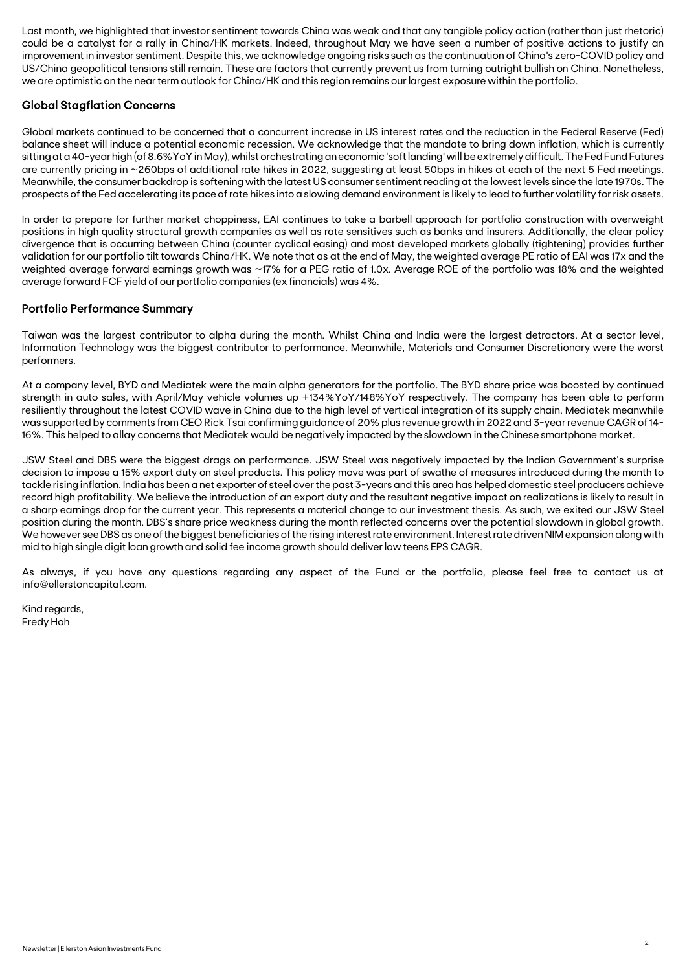Last month, we highlighted that investor sentiment towards China was weak and that any tangible policy action (rather than just rhetoric) could be a catalyst for a rally in China/HK markets. Indeed, throughout May we have seen a number of positive actions to justify an improvement in investor sentiment. Despite this, we acknowledge ongoing risks such as the continuation of China's zero-COVID policy and US/China geopolitical tensions still remain. These are factors that currently prevent us from turning outright bullish on China. Nonetheless, we are optimistic on the near term outlook for China/HK and this region remains our largest exposure within the portfolio.

### Global Stagflation Concerns

Global markets continued to be concerned that a concurrent increase in US interest rates and the reduction in the Federal Reserve (Fed) balance sheet will induce a potential economic recession. We acknowledge that the mandate to bring down inflation, which is currently sitting at a 40-year high (of 8.6%YoYin May), whilst orchestrating an economic 'soft landing' will be extremely difficult. The Fed Fund Futures are currently pricing in ~260bps of additional rate hikes in 2022, suggesting at least 50bps in hikes at each of the next 5 Fed meetings. Meanwhile, the consumer backdrop is softening with the latest US consumer sentiment reading at the lowest levels since the late 1970s. The prospects of the Fed accelerating its pace of rate hikes into a slowing demand environment is likely to lead to further volatility for risk assets.

In order to prepare for further market choppiness, EAI continues to take a barbell approach for portfolio construction with overweight positions in high quality structural growth companies as well as rate sensitives such as banks and insurers. Additionally, the clear policy divergence that is occurring between China (counter cyclical easing) and most developed markets globally (tightening) provides further validation for our portfolio tilt towards China/HK. We note that as at the end of May, the weighted average PE ratio of EAI was 17x and the weighted average forward earnings growth was ~17% for a PEG ratio of 1.0x. Average ROE of the portfolio was 18% and the weighted average forward FCF yield of our portfolio companies (ex financials) was 4%.

### Portfolio Performance Summary

Taiwan was the largest contributor to alpha during the month. Whilst China and India were the largest detractors. At a sector level, Information Technology was the biggest contributor to performance. Meanwhile, Materials and Consumer Discretionary were the worst performers.

At a company level, BYD and Mediatek were the main alpha generators for the portfolio. The BYD share price was boosted by continued strength in auto sales, with April/May vehicle volumes up +134%YoY/148%YoY respectively. The company has been able to perform resiliently throughout the latest COVID wave in China due to the high level of vertical integration of its supply chain. Mediatek meanwhile was supported by comments from CEO Rick Tsai confirming guidance of 20% plus revenue growth in 2022 and 3-year revenue CAGR of 14- 16%. This helped to allay concerns that Mediatek would be negatively impacted by the slowdown in the Chinese smartphone market.

JSW Steel and DBS were the biggest drags on performance. JSW Steel was negatively impacted by the Indian Government's surprise decision to impose a 15% export duty on steel products. This policy move was part of swathe of measures introduced during the month to tackle rising inflation. India has been a net exporter of steel over the past 3-years and this area has helped domestic steel producers achieve record high profitability. We believe the introduction of an export duty and the resultant negative impact on realizations is likely to result in a sharp earnings drop for the current year. This represents a material change to our investment thesis. As such, we exited our JSW Steel position during the month. DBS's share price weakness during the month reflected concerns over the potential slowdown in global growth. We however see DBS as one of the biggest beneficiaries of the rising interest rate environment. Interest rate driven NIM expansion along with mid to high single digit loan growth and solid fee income growth should deliver low teens EPS CAGR.

As always, if you have any questions regarding any aspect of the Fund or the portfolio, please feel free to contact us at info@ellerstoncapital.com.

Kind regards, Fredy Hoh